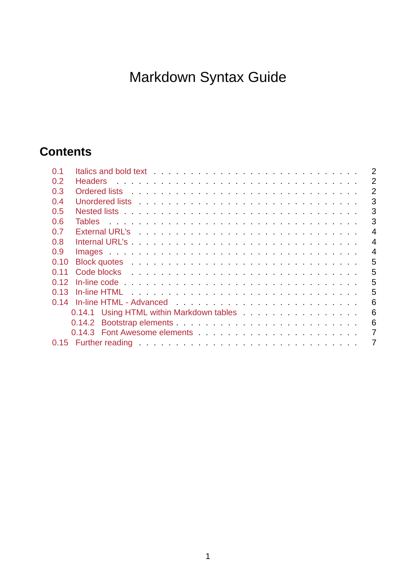# Markdown Syntax Guide

## **Contents**

| 0.1  | $\overline{2}$                                                                                                                                                                                                                                  |
|------|-------------------------------------------------------------------------------------------------------------------------------------------------------------------------------------------------------------------------------------------------|
| 0.2  | $\overline{2}$                                                                                                                                                                                                                                  |
| 0.3  | $\overline{2}$<br>Ordered lists in the contract of the contract of the contract of the contract of the contract of the contract of the contract of the contract of the contract of the contract of the contract of the contract of the contract |
| 0.4  | 3<br>Unordered lists response to the contract of the contract of the contract of the contract of the contract of the contract of the contract of the contract of the contract of the contract of the contract of the contract of th             |
| 0.5  | 3                                                                                                                                                                                                                                               |
| 0.6  | 3                                                                                                                                                                                                                                               |
| 0.7  | 4<br>External URL's researched and contained a research containing the second containing the second second second s                                                                                                                             |
| 0.8  | 4                                                                                                                                                                                                                                               |
| 0.9  | $\overline{4}$                                                                                                                                                                                                                                  |
| 0.10 | 5                                                                                                                                                                                                                                               |
| 0.11 | 5                                                                                                                                                                                                                                               |
| 0.12 | 5                                                                                                                                                                                                                                               |
| 0.13 | 5                                                                                                                                                                                                                                               |
| 0.14 | 6                                                                                                                                                                                                                                               |
|      | 6<br>0.14.1 Using HTML within Markdown tables                                                                                                                                                                                                   |
|      | 6                                                                                                                                                                                                                                               |
|      | 7                                                                                                                                                                                                                                               |
|      | 7                                                                                                                                                                                                                                               |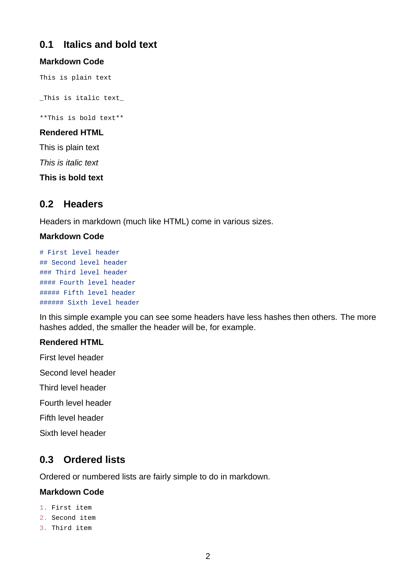## <span id="page-1-0"></span>**0.1 Italics and bold text**

#### **Markdown Code**

This is plain text

\_This is italic text\_

\*\*This is bold text\*\*

#### **Rendered HTML**

This is plain text

*This is italic text*

**This is bold text**

## <span id="page-1-1"></span>**0.2 Headers**

Headers in markdown (much like HTML) come in various sizes.

#### **Markdown Code**

```
# First level header
## Second level header
### Third level header
#### Fourth level header
##### Fifth level header
###### Sixth level header
```
In this simple example you can see some headers have less hashes then others. The more hashes added, the smaller the header will be, for example.

#### **Rendered HTML**

First level header

Second level header

Third level header

Fourth level header

Fifth level header

Sixth level header

## <span id="page-1-2"></span>**0.3 Ordered lists**

Ordered or numbered lists are fairly simple to do in markdown.

#### **Markdown Code**

- 1. First item
- 2. Second item
- 3. Third item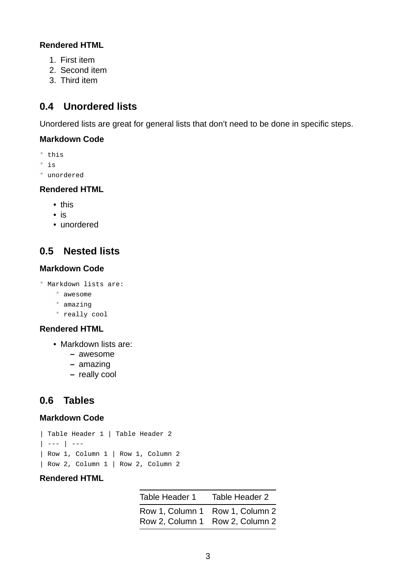#### **Rendered HTML**

- 1. First item
- 2. Second item
- 3. Third item

## <span id="page-2-0"></span>**0.4 Unordered lists**

Unordered lists are great for general lists that don't need to be done in specific steps.

#### **Markdown Code**

- \* this
- \* is
- \* unordered

#### **Rendered HTML**

- this
- is
- unordered

## <span id="page-2-1"></span>**0.5 Nested lists**

#### **Markdown Code**

- \* Markdown lists are:
	- \* awesome
	- \* amazing
	- \* really cool

#### **Rendered HTML**

- Markdown lists are:
	- **–** awesome
	- **–** amazing
	- **–** really cool

## <span id="page-2-2"></span>**0.6 Tables**

#### **Markdown Code**

```
| Table Header 1 | Table Header 2
| - - - | - - -| Row 1, Column 1 | Row 1, Column 2
| Row 2, Column 1 | Row 2, Column 2
```
#### **Rendered HTML**

| Table Header 1                                                     | Table Header 2 |
|--------------------------------------------------------------------|----------------|
| Row 1, Column 1 Row 1, Column 2<br>Row 2, Column 1 Row 2, Column 2 |                |
|                                                                    |                |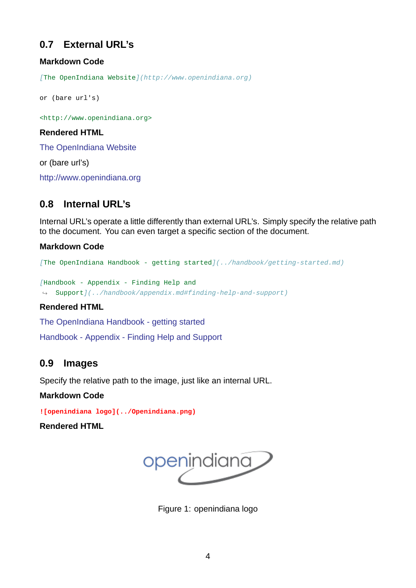## **0.7 External URL's**

#### **Markdown Code**

<span id="page-3-0"></span>*[*The OpenIndiana Website*](http://www.openindiana.org)*

```
or (bare url's)
```
<http://www.openindiana.org>

#### **Rendered HTML**

The OpenIndiana Website

or (bare url's)

<http://www.openindiana.org>

## **[0.8 Internal URL's](http://www.openindiana.org)**

<span id="page-3-1"></span>Internal URL's operate a little differently than external URL's. Simply specify the relative path to the document. You can even target a specific section of the document.

#### **Markdown Code**

*[The OpenIndiana Handbook - getting started](../handbook/getting-started.md)* 

*[*Handbook Appendix Finding Help and ↪ Support*](../handbook/appendix.md#findinghelpandsupport)*

#### **Rendered HTML**

The OpenIndiana Handbook - getting started

Handbook - Appendix - Finding Help and Support

## **[0.9 Images](../handbook/getting-started.md)**

Specify the relative path to the image, just like an internal URL.

<span id="page-3-2"></span>**Markdown Code**

**![openindiana logo](../Openindiana.png)**

**Rendered HTML**



Figure 1: openindiana logo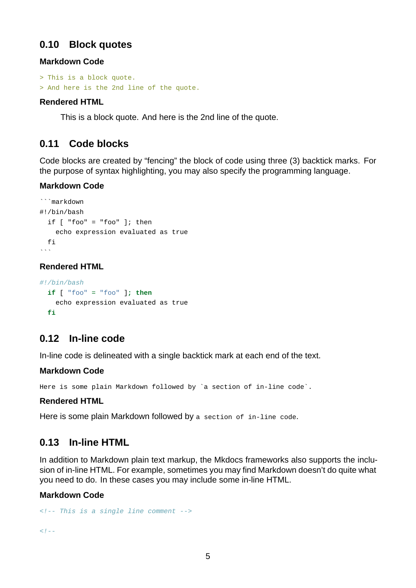## <span id="page-4-0"></span>**0.10 Block quotes**

#### **Markdown Code**

```
> This is a block quote.
> And here is the 2nd line of the quote.
```
#### **Rendered HTML**

This is a block quote. And here is the 2nd line of the quote.

### <span id="page-4-1"></span>**0.11 Code blocks**

Code blocks are created by "fencing" the block of code using three (3) backtick marks. For the purpose of syntax highlighting, you may also specify the programming language.

#### **Markdown Code**

```
```markdown
#!/bin/bash
  if \lceil "foo" = "foo" ]; then
    echo expression evaluated as true
  fi
\ddotsc
```
#### **Rendered HTML**

```
#!/bin/bash
  if [ "foo" = "foo" ]; then
    echo expression evaluated as true
  fi
```
## <span id="page-4-2"></span>0.12 In-line code

In-line code is delineated with a single backtick mark at each end of the text.

#### **Markdown Code**

Here is some plain Markdown followed by `a section of in-line code`.

#### **Rendered HTML**

Here is some plain Markdown followed by a section of in-line code.

## <span id="page-4-3"></span>0.13 In-line HTML

In addition to Markdown plain text markup, the Mkdocs frameworks also supports the inclusion of in-line HTML. For example, sometimes you may find Markdown doesn't do quite what you need to do. In these cases you may include some in-line HTML.

#### **Markdown Code**

```
<! This is a single line comment >
```
 $<$ ! - -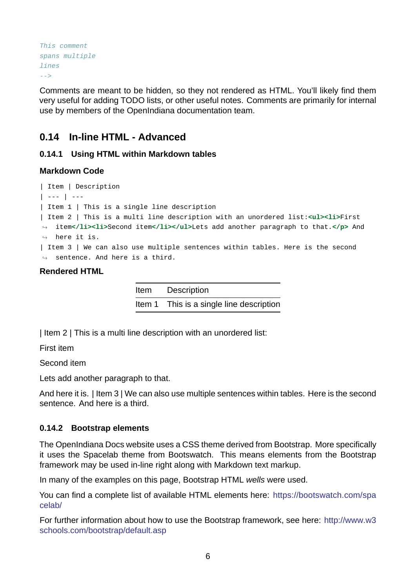```
This comment
spans multiple
lines
>
```
Comments are meant to be hidden, so they not rendered as HTML. You'll likely find them very useful for adding TODO lists, or other useful notes. Comments are primarily for internal use by members of the OpenIndiana documentation team.

## **0.14 In-line HTML - Advanced**

#### **0.14.1 Using HTML within Markdown tables**

#### <span id="page-5-0"></span>**Markdown Code**

```
| Item | Description
| - - - | - - -| Item 1 | This is a single line description
| Item 2 | This is a multi line description with an unordered list:<ul><li>First
item</li><li>Second item</li></ul>Lets add another paragraph to that.</p> And
↪
\leftrightarrow here it is.
| Item 3 | We can also use multiple sentences within tables. Here is the second
\leftrightarrow sentence. And here is a third.
```
#### **Rendered HTML**

Item Description Item 1 This is a single line description

| Item 2 | This is a multi line description with an unordered list:

First item

Second item

Lets add another paragraph to that.

And here it is. | Item 3 | We can also use multiple sentences within tables. Here is the second sentence. And here is a third.

#### **0.14.2 Bootstrap elements**

The OpenIndiana Docs website uses a CSS theme derived from Bootstrap. More specifically it uses the Spacelab theme from Bootswatch. This means elements from the Bootstrap framework may be used in-line right along with Markdown text markup.

In many of the examples on this page, Bootstrap HTML *wells* were used.

You can find a complete list of available HTML elements here: https://bootswatch.com/spa celab/

For further information about how to use the Bootstrap framework, see here: http://www.w3 schools.com/bootstrap/default.asp